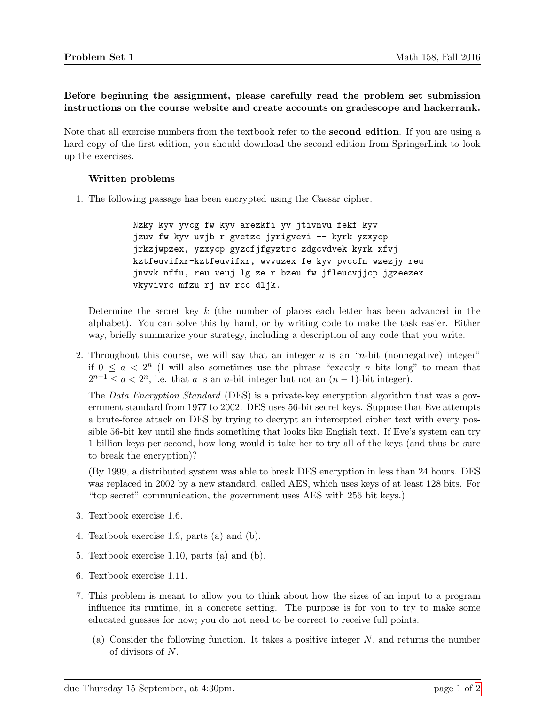Before beginning the assignment, please carefully read the problem set submission instructions on the course website and create accounts on gradescope and hackerrank.

Note that all exercise numbers from the textbook refer to the second edition. If you are using a hard copy of the first edition, you should download the second edition from SpringerLink to look up the exercises.

## Written problems

<span id="page-0-0"></span>1. The following passage has been encrypted using the Caesar cipher.

Nzky kyv yvcg fw kyv arezkfi yv jtivnvu fekf kyv jzuv fw kyv uvjb r gvetzc jyrigvevi -- kyrk yzxycp jrkzjwpzex, yzxycp gyzcfjfgyztrc zdgcvdvek kyrk xfvj kztfeuvifxr-kztfeuvifxr, wvvuzex fe kyv pvccfn wzezjy reu jnvvk nffu, reu veuj lg ze r bzeu fw jfleucvjjcp jgzeezex vkyvivrc mfzu rj nv rcc dljk.

Determine the secret key  $k$  (the number of places each letter has been advanced in the alphabet). You can solve this by hand, or by writing code to make the task easier. Either way, briefly summarize your strategy, including a description of any code that you write.

2. Throughout this course, we will say that an integer  $a$  is an "n-bit (nonnegative) integer" if  $0 \le a < 2^n$  (I will also sometimes use the phrase "exactly *n* bits long" to mean that  $2^{n-1} \leq a < 2^n$ , i.e. that a is an n-bit integer but not an  $(n-1)$ -bit integer).

The Data Encryption Standard (DES) is a private-key encryption algorithm that was a government standard from 1977 to 2002. DES uses 56-bit secret keys. Suppose that Eve attempts a brute-force attack on DES by trying to decrypt an intercepted cipher text with every possible 56-bit key until she finds something that looks like English text. If Eve's system can try 1 billion keys per second, how long would it take her to try all of the keys (and thus be sure to break the encryption)?

(By 1999, a distributed system was able to break DES encryption in less than 24 hours. DES was replaced in 2002 by a new standard, called AES, which uses keys of at least 128 bits. For "top secret" communication, the government uses AES with 256 bit keys.)

- 3. Textbook exercise 1.6.
- 4. Textbook exercise 1.9, parts (a) and (b).
- 5. Textbook exercise 1.10, parts (a) and (b).
- 6. Textbook exercise 1.11.
- 7. This problem is meant to allow you to think about how the sizes of an input to a program influence its runtime, in a concrete setting. The purpose is for you to try to make some educated guesses for now; you do not need to be correct to receive full points.
	- (a) Consider the following function. It takes a positive integer  $N$ , and returns the number of divisors of N.